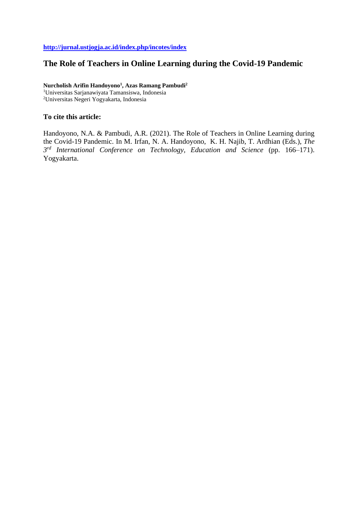# **<http://jurnal.ustjogja.ac.id/index.php/incotes/index>**

# **The Role of Teachers in Online Learning during the Covid-19 Pandemic**

**Nurcholish Arifin Handoyono<sup>1</sup> , Azas Ramang Pambudi<sup>2</sup>**

<sup>1</sup>Universitas Sarjanawiyata Tamansiswa, Indonesia <sup>2</sup>Universitas Negeri Yogyakarta, Indonesia

# **To cite this article:**

Handoyono, N.A. & Pambudi, A.R. (2021). The Role of Teachers in Online Learning during the Covid-19 Pandemic. In M. Irfan, N. A. Handoyono, K. H. Najib, T. Ardhian (Eds.), *The 3 rd International Conference on Technology, Education and Science* (pp. 166–171). Yogyakarta.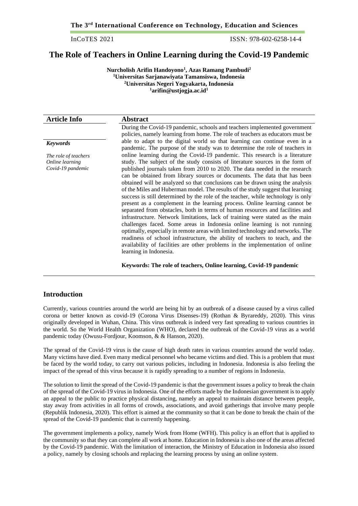**The 3rd International Conference on Technology, Education and Sciences**

InCoTES 2021 ISSN: 978-602-6258-14-4

# **The Role of Teachers in Online Learning during the Covid-19 Pandemic**

**Nurcholish Arifin Handoyono<sup>1</sup> , Azas Ramang Pambudi<sup>2</sup> Universitas Sarjanawiyata Tamansiswa, Indonesia Universitas Negeri Yogyakarta, Indonesia arifin@ustjogja.ac.id<sup>1</sup>**

| <b>Article Info</b>                                          | <b>Abstract</b>                                                                                                                                                                                                                                                                                                                                                                                                                                                                                                                                                                                                                                                                                                                                                                                                                                                                                                                                                                                                                                                                                                                                                                             |
|--------------------------------------------------------------|---------------------------------------------------------------------------------------------------------------------------------------------------------------------------------------------------------------------------------------------------------------------------------------------------------------------------------------------------------------------------------------------------------------------------------------------------------------------------------------------------------------------------------------------------------------------------------------------------------------------------------------------------------------------------------------------------------------------------------------------------------------------------------------------------------------------------------------------------------------------------------------------------------------------------------------------------------------------------------------------------------------------------------------------------------------------------------------------------------------------------------------------------------------------------------------------|
|                                                              | During the Covid-19 pandemic, schools and teachers implemented government<br>policies, namely learning from home. The role of teachers as educators must be                                                                                                                                                                                                                                                                                                                                                                                                                                                                                                                                                                                                                                                                                                                                                                                                                                                                                                                                                                                                                                 |
| <b>Keywords</b>                                              | able to adapt to the digital world so that learning can continue even in a<br>pandemic. The purpose of the study was to determine the role of teachers in                                                                                                                                                                                                                                                                                                                                                                                                                                                                                                                                                                                                                                                                                                                                                                                                                                                                                                                                                                                                                                   |
| The role of teachers<br>Online learning<br>Covid-19 pandemic | online learning during the Covid-19 pandemic. This research is a literature<br>study. The subject of the study consists of literature sources in the form of<br>published journals taken from 2010 to 2020. The data needed in the research<br>can be obtained from library sources or documents. The data that has been<br>obtained will be analyzed so that conclusions can be drawn using the analysis<br>of the Miles and Huberman model. The results of the study suggest that learning<br>success is still determined by the role of the teacher, while technology is only<br>present as a complement in the learning process. Online learning cannot be<br>separated from obstacles, both in terms of human resources and facilities and<br>infrastructure. Network limitations, lack of training were stated as the main<br>challenges faced. Some areas in Indonesia online learning is not running<br>optimally, especially in remote areas with limited technology and networks. The<br>readiness of school infrastructure, the ability of teachers to teach, and the<br>availability of facilities are other problems in the implementation of online<br>learning in Indonesia. |
|                                                              |                                                                                                                                                                                                                                                                                                                                                                                                                                                                                                                                                                                                                                                                                                                                                                                                                                                                                                                                                                                                                                                                                                                                                                                             |

#### **Keywords: The role of teachers, Online learning, Covid-19 pandemic**

# **Introduction**

Currently, various countries around the world are being hit by an outbreak of a disease caused by a virus called corona or better known as covid-19 (Corona Virus Disenses-19) (Rothan & Byrareddy, 2020). This virus originally developed in Wuhan, China. This virus outbreak is indeed very fast spreading to various countries in the world. So the World Health Organization (WHO), declared the outbreak of the Covid-19 virus as a world pandemic today (Owusu-Fordjour, Koomson, & & Hanson, 2020).

The spread of the Covid-19 virus is the cause of high death rates in various countries around the world today. Many victims have died. Even many medical personnel who became victims and died. This is a problem that must be faced by the world today, to carry out various policies, including in Indonesia. Indonesia is also feeling the impact of the spread of this virus because it is rapidly spreading to a number of regions in Indonesia.

The solution to limit the spread of the Covid-19 pandemic is that the government issues a policy to break the chain of the spread of the Covid-19 virus in Indonesia. One of the efforts made by the Indonesian government is to apply an appeal to the public to practice physical distancing, namely an appeal to maintain distance between people, stay away from activities in all forms of crowds, associations, and avoid gatherings that involve many people (Republik Indonesia, 2020). This effort is aimed at the community so that it can be done to break the chain of the spread of the Covid-19 pandemic that is currently happening.

The government implements a policy, namely Work from Home (WFH). This policy is an effort that is applied to the community so that they can complete all work at home. Education in Indonesia is also one of the areas affected by the Covid-19 pandemic. With the limitation of interaction, the Ministry of Education in Indonesia also issued a policy, namely by closing schools and replacing the learning process by using an online system.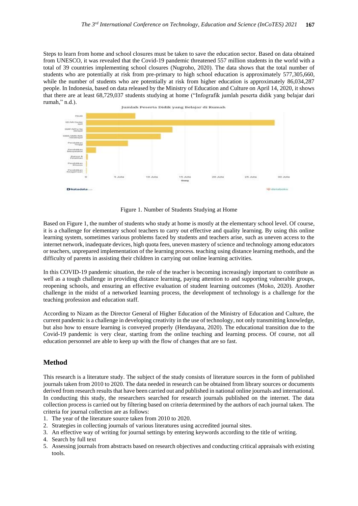Steps to learn from home and school closures must be taken to save the education sector. Based on data obtained from UNESCO, it was revealed that the Covid-19 pandemic threatened 557 million students in the world with a total of 39 countries implementing school closures (Nugroho, 2020). The data shows that the total number of students who are potentially at risk from pre-primary to high school education is approximately 577,305,660, while the number of students who are potentially at risk from higher education is approximately 86,034,287 people. In Indonesia, based on data released by the Ministry of Education and Culture on April 14, 2020, it shows that there are at least 68,729,037 students studying at home ("Infografik jumlah peserta didik yang belajar dari rumah," n.d.).



Figure 1. Number of Students Studying at Home

Based on Figure 1, the number of students who study at home is mostly at the elementary school level. Of course, it is a challenge for elementary school teachers to carry out effective and quality learning. By using this online learning system, sometimes various problems faced by students and teachers arise, such as uneven access to the internet network, inadequate devices, high quota fees, uneven mastery of science and technology among educators or teachers, unprepared implementation of the learning process. teaching using distance learning methods, and the difficulty of parents in assisting their children in carrying out online learning activities.

In this COVID-19 pandemic situation, the role of the teacher is becoming increasingly important to contribute as well as a tough challenge in providing distance learning, paying attention to and supporting vulnerable groups, reopening schools, and ensuring an effective evaluation of student learning outcomes (Moko, 2020). Another challenge in the midst of a networked learning process, the development of technology is a challenge for the teaching profession and education staff.

According to Nizam as the Director General of Higher Education of the Ministry of Education and Culture, the current pandemic is a challenge in developing creativity in the use of technology, not only transmitting knowledge, but also how to ensure learning is conveyed properly (Hendayana, 2020). The educational transition due to the Covid-19 pandemic is very clear, starting from the online teaching and learning process. Of course, not all education personnel are able to keep up with the flow of changes that are so fast.

#### **Method**

This research is a literature study. The subject of the study consists of literature sources in the form of published journals taken from 2010 to 2020. The data needed in research can be obtained from library sources or documents derived from research results that have been carried out and published in national online journals and international. In conducting this study, the researchers searched for research journals published on the internet. The data collection process is carried out by filtering based on criteria determined by the authors of each journal taken. The criteria for journal collection are as follows:

- 1. The year of the literature source taken from 2010 to 2020.
- 2. Strategies in collecting journals of various literatures using accredited journal sites.
- 3. An effective way of writing for journal settings by entering keywords according to the title of writing.
- 4. Search by full text
- 5. Assessing journals from abstracts based on research objectives and conducting critical appraisals with existing tools.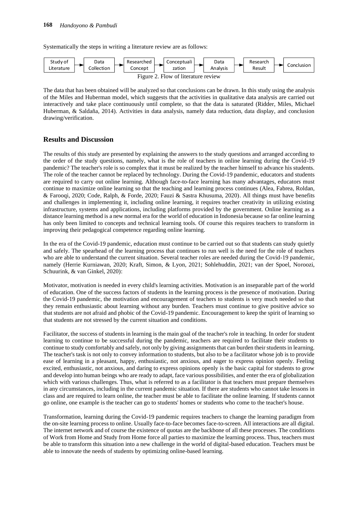Systematically the steps in writing a literature review are as follows:



The data that has been obtained will be analyzed so that conclusions can be drawn. In this study using the analysis of the Miles and Huberman model, which suggests that the activities in qualitative data analysis are carried out interactively and take place continuously until complete, so that the data is saturated (Ridder, Miles, Michael Huberman, & Saldaña, 2014). Activities in data analysis, namely data reduction, data display, and conclusion drawing/verification.

#### **Results and Discussion**

The results of this study are presented by explaining the answers to the study questions and arranged according to the order of the study questions, namely, what is the role of teachers in online learning during the Covid-19 pandemic? The teacher's role is so complex that it must be realized by the teacher himself to advance his students. The role of the teacher cannot be replaced by technology. During the Covid-19 pandemic, educators and students are required to carry out online learning. Although face-to-face learning has many advantages, educators must continue to maximize online learning so that the teaching and learning process continues (Alea, Fabrea, Roldan, & Farooqi, 2020; Code, Ralph, & Forde, 2020; Fauzi & Sastra Khusuma, 2020). All things must have benefits and challenges in implementing it, including online learning, it requires teacher creativity in utilizing existing infrastructure, systems and applications, including platforms provided by the government. Online learning as a distance learning method is a new normal era for the world of education in Indonesia because so far online learning has only been limited to concepts and technical learning tools. Of course this requires teachers to transform in improving their pedagogical competence regarding online learning.

In the era of the Covid-19 pandemic, education must continue to be carried out so that students can study quietly and safely. The spearhead of the learning process that continues to run well is the need for the role of teachers who are able to understand the current situation. Several teacher roles are needed during the Covid-19 pandemic, namely (Herrie Kurniawan, 2020; Kraft, Simon, & Lyon, 2021; Sohlehuddin, 2021; van der Spoel, Noroozi, Schuurink, & van Ginkel, 2020):

Motivator, motivation is needed in every child's learning activities. Motivation is an inseparable part of the world of education. One of the success factors of students in the learning process is the presence of motivation. During the Covid-19 pandemic, the motivation and encouragement of teachers to students is very much needed so that they remain enthusiastic about learning without any burden. Teachers must continue to give positive advice so that students are not afraid and phobic of the Covid-19 pandemic. Encouragement to keep the spirit of learning so that students are not stressed by the current situation and conditions.

Facilitator, the success of students in learning is the main goal of the teacher's role in teaching. In order for student learning to continue to be successful during the pandemic, teachers are required to facilitate their students to continue to study comfortably and safely, not only by giving assignments that can burden their students in learning. The teacher's task is not only to convey information to students, but also to be a facilitator whose job is to provide ease of learning in a pleasant, happy, enthusiastic, not anxious, and eager to express opinion openly. Feeling excited, enthusiastic, not anxious, and daring to express opinions openly is the basic capital for students to grow and develop into human beings who are ready to adapt, face various possibilities, and enter the era of globalization which with various challenges. Thus, what is referred to as a facilitator is that teachers must prepare themselves in any circumstances, including in the current pandemic situation. If there are students who cannot take lessons in class and are required to learn online, the teacher must be able to facilitate the online learning. If students cannot go online, one example is the teacher can go to students' homes or students who come to the teacher's house.

Transformation, learning during the Covid-19 pandemic requires teachers to change the learning paradigm from the on-site learning process to online. Usually face-to-face becomes face-to-screen. All interactions are all digital. The internet network and of course the existence of quotas are the backbone of all these processes. The conditions of Work from Home and Study from Home force all parties to maximize the learning process. Thus, teachers must be able to transform this situation into a new challenge in the world of digital-based education. Teachers must be able to innovate the needs of students by optimizing online-based learning.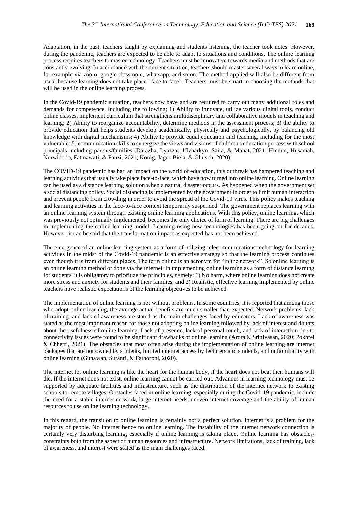Adaptation, in the past, teachers taught by explaining and students listening, the teacher took notes. However, during the pandemic, teachers are expected to be able to adapt to situations and conditions. The online learning process requires teachers to master technology. Teachers must be innovative towards media and methods that are constantly evolving. In accordance with the current situation, teachers should master several ways to learn online, for example via zoom, google classroom, whatsapp, and so on. The method applied will also be different from usual because learning does not take place "face to face". Teachers must be smart in choosing the methods that will be used in the online learning process.

In the Covid-19 pandemic situation, teachers now have and are required to carry out many additional roles and demands for competence. Including the following; 1) Ability to innovate, utilize various digital tools, conduct online classes, implement curriculum that strengthens multidisciplinary and collaborative models in teaching and learning; 2) Ability to reorganize accountability, determine methods in the assessment process; 3) the ability to provide education that helps students develop academically, physically and psychologically, by balancing old knowledge with digital mechanisms; 4) Ability to provide equal education and teaching, including for the most vulnerable; 5) communication skills to synergize the views and visions of children's education process with school principals including parents/families (Darazha, Lyazzat, Ulzharkyn, Saira, & Manat, 2021; Hindun, Husamah, Nurwidodo, Fatmawati, & Fauzi, 2021; König, Jäger-Biela, & Glutsch, 2020).

The COVID-19 pandemic has had an impact on the world of education, this outbreak has hampered teaching and learning activities that usually take place face-to-face, which have now turned into online learning. Online learning can be used as a distance learning solution when a natural disaster occurs. As happened when the government set a social distancing policy. Social distancing is implemented by the government in order to limit human interaction and prevent people from crowding in order to avoid the spread of the Covid-19 virus. This policy makes teaching and learning activities in the face-to-face context temporarily suspended. The government replaces learning with an online learning system through existing online learning applications. With this policy, online learning, which was previously not optimally implemented, becomes the only choice of form of learning. There are big challenges in implementing the online learning model. Learning using new technologies has been going on for decades. However, it can be said that the transformation impact as expected has not been achieved.

The emergence of an online learning system as a form of utilizing telecommunications technology for learning activities in the midst of the Covid-19 pandemic is an effective strategy so that the learning process continues even though it is from different places. The term online is an acronym for "in the network". So online learning is an online learning method or done via the internet. In implementing online learning as a form of distance learning for students, it is obligatory to prioritize the principles, namely: 1) No harm, where online learning does not create more stress and anxiety for students and their families, and 2) Realistic, effective learning implemented by online teachers have realistic expectations of the learning objectives to be achieved.

The implementation of online learning is not without problems. In some countries, it is reported that among those who adopt online learning, the average actual benefits are much smaller than expected. Network problems, lack of training, and lack of awareness are stated as the main challenges faced by educators. Lack of awareness was stated as the most important reason for those not adopting online learning followed by lack of interest and doubts about the usefulness of online learning. Lack of presence, lack of personal touch, and lack of interaction due to connectivity issues were found to be significant drawbacks of online learning (Arora & Srinivasan, 2020; Pokhrel & Chhetri, 2021). The obstacles that most often arise during the implementation of online learning are internet packages that are not owned by students, limited internet access by lecturers and students, and unfamiliarity with online learning (Gunawan, Suranti, & Fathoroni, 2020).

The internet for online learning is like the heart for the human body, if the heart does not beat then humans will die. If the internet does not exist, online learning cannot be carried out. Advances in learning technology must be supported by adequate facilities and infrastructure, such as the distribution of the internet network to existing schools to remote villages. Obstacles faced in online learning, especially during the Covid-19 pandemic, include the need for a stable internet network, large internet needs, uneven internet coverage and the ability of human resources to use online learning technology.

In this regard, the transition to online learning is certainly not a perfect solution. Internet is a problem for the majority of people. No internet hence no online learning. The instability of the internet network connection is certainly very disturbing learning, especially if online learning is taking place. Online learning has obstacles/ constraints both from the aspect of human resources and infrastructure. Network limitations, lack of training, lack of awareness, and interest were stated as the main challenges faced.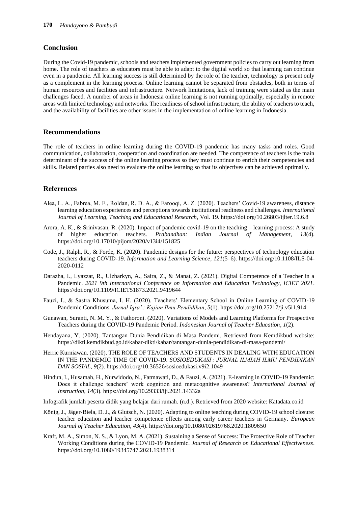## **Conclusion**

During the Covid-19 pandemic, schools and teachers implemented government policies to carry out learning from home. The role of teachers as educators must be able to adapt to the digital world so that learning can continue even in a pandemic. All learning success is still determined by the role of the teacher, technology is present only as a complement in the learning process. Online learning cannot be separated from obstacles, both in terms of human resources and facilities and infrastructure. Network limitations, lack of training were stated as the main challenges faced. A number of areas in Indonesia online learning is not running optimally, especially in remote areas with limited technology and networks. The readiness of school infrastructure, the ability of teachers to teach, and the availability of facilities are other issues in the implementation of online learning in Indonesia.

## **Recommendations**

The role of teachers in online learning during the COVID-19 pandemic has many tasks and roles. Good communication, collaboration, cooperation and coordination are needed. The competence of teachers is the main determinant of the success of the online learning process so they must continue to enrich their competencies and skills. Related parties also need to evaluate the online learning so that its objectives can be achieved optimally.

#### **References**

- Alea, L. A., Fabrea, M. F., Roldan, R. D. A., & Farooqi, A. Z. (2020). Teachers' Covid-19 awareness, distance learning education experiences and perceptions towards institutional readiness and challenges. *International Journal of Learning, Teaching and Educational Research*, Vol. 19. https://doi.org/10.26803/ijlter.19.6.8
- Arora, A. K., & Srinivasan, R. (2020). Impact of pandemic covid-19 on the teaching learning process: A study of higher education teachers. *Prabandhan: Indian Journal of Management*, *13*(4). https://doi.org/10.17010/pijom/2020/v13i4/151825
- Code, J., Ralph, R., & Forde, K. (2020). Pandemic designs for the future: perspectives of technology education teachers during COVID-19. *Information and Learning Science*, *121*(5–6). https://doi.org/10.1108/ILS-04- 2020-0112
- Darazha, I., Lyazzat, R., Ulzharkyn, A., Saira, Z., & Manat, Z. (2021). Digital Competence of a Teacher in a Pandemic. *2021 9th International Conference on Information and Education Technology, ICIET 2021*. https://doi.org/10.1109/ICIET51873.2021.9419644
- Fauzi, I., & Sastra Khusuma, I. H. (2020). Teachers' Elementary School in Online Learning of COVID-19 Pandemic Conditions. *Jurnal Iqra' : Kajian Ilmu Pendidikan*, *5*(1). https://doi.org/10.25217/ji.v5i1.914
- Gunawan, Suranti, N. M. Y., & Fathoroni. (2020). Variations of Models and Learning Platforms for Prospective Teachers during the COVID-19 Pandemic Period. *Indonesian Journal of Teacher Education*, *1*(2).
- Hendayana, Y. (2020). Tantangan Dunia Pendidikan di Masa Pandemi. Retrieved from Kemdikbud website: https://dikti.kemdikbud.go.id/kabar-dikti/kabar/tantangan-dunia-pendidikan-di-masa-pandemi/
- Herrie Kurniawan. (2020). THE ROLE OF TEACHERS AND STUDENTS IN DEALING WITH EDUCATION IN THE PANDEMIC TIME OF COVID-19. *SOSIOEDUKASI : JURNAL ILMIAH ILMU PENDIDIKAN DAN SOSIAL*, *9*(2). https://doi.org/10.36526/sosioedukasi.v9i2.1049
- Hindun, I., Husamah, H., Nurwidodo, N., Fatmawati, D., & Fauzi, A. (2021). E-learning in COVID-19 Pandemic: Does it challenge teachers' work cognition and metacognitive awareness? *International Journal of Instruction*, *14*(3). https://doi.org/10.29333/iji.2021.14332a
- Infografik jumlah peserta didik yang belajar dari rumah. (n.d.). Retrieved from 2020 website: Katadata.co.id
- König, J., Jäger-Biela, D. J., & Glutsch, N. (2020). Adapting to online teaching during COVID-19 school closure: teacher education and teacher competence effects among early career teachers in Germany. *European Journal of Teacher Education*, *43*(4). https://doi.org/10.1080/02619768.2020.1809650
- Kraft, M. A., Simon, N. S., & Lyon, M. A. (2021). Sustaining a Sense of Success: The Protective Role of Teacher Working Conditions during the COVID-19 Pandemic. *Journal of Research on Educational Effectiveness*. https://doi.org/10.1080/19345747.2021.1938314